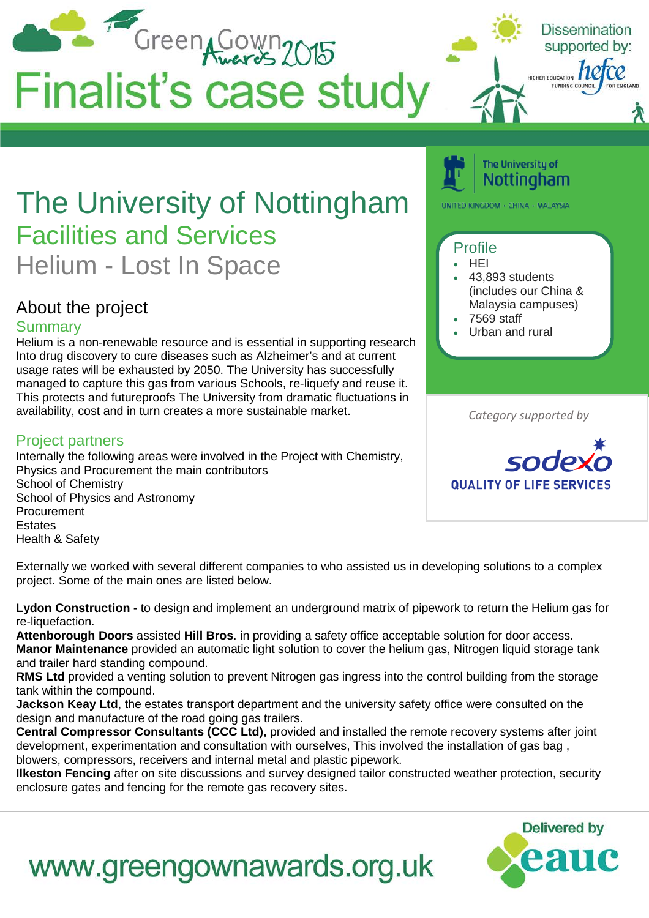

**Lydon Construction** - to design and implement an underground matrix of pipework to return the Helium gas for re-liquefaction.

**Attenborough Doors** assisted **Hill Bros**. in providing a safety office acceptable solution for door access. **Manor Maintenance** provided an automatic light solution to cover the helium gas, Nitrogen liquid storage tank and trailer hard standing compound.

**RMS Ltd** provided a venting solution to prevent Nitrogen gas ingress into the control building from the storage tank within the compound.

**Jackson Keay Ltd**, the estates transport department and the university safety office were consulted on the design and manufacture of the road going gas trailers.

**Central Compressor Consultants (CCC Ltd),** provided and installed the remote recovery systems after joint development, experimentation and consultation with ourselves, This involved the installation of gas bag , blowers, compressors, receivers and internal metal and plastic pipework.

**Ilkeston Fencing** after on site discussions and survey designed tailor constructed weather protection, security enclosure gates and fencing for the remote gas recovery sites.

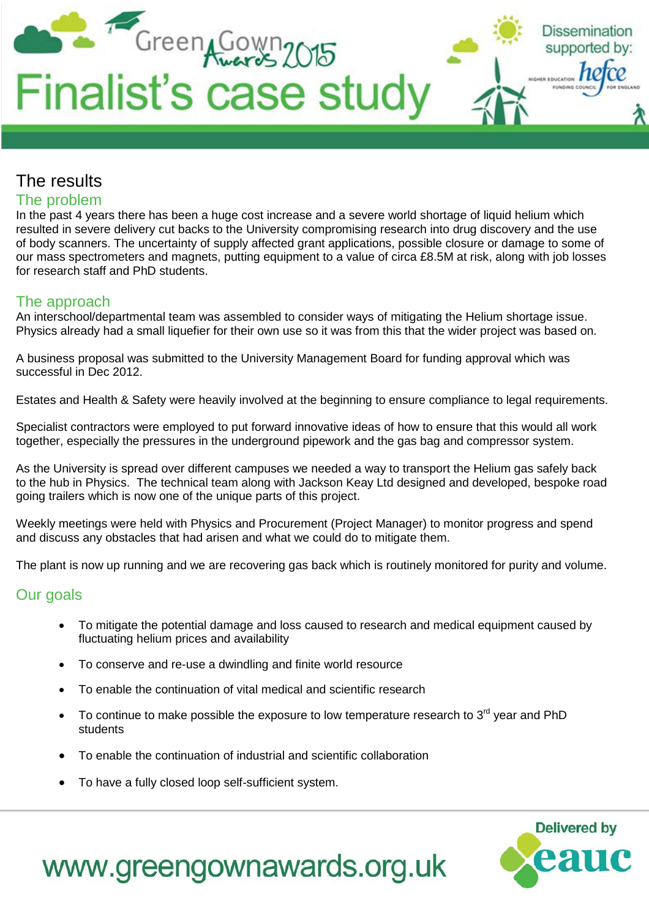

## The results

#### The problem

In the past 4 years there has been a huge cost increase and a severe world shortage of liquid helium which resulted in severe delivery cut backs to the University compromising research into drug discovery and the use of body scanners. The uncertainty of supply affected grant applications, possible closure or damage to some of our mass spectrometers and magnets, putting equipment to a value of circa £8.5M at risk, along with job losses for research staff and PhD students.

### The approach

An interschool/departmental team was assembled to consider ways of mitigating the Helium shortage issue. Physics already had a small liquefier for their own use so it was from this that the wider project was based on.

A business proposal was submitted to the University Management Board for funding approval which was successful in Dec 2012.

Estates and Health & Safety were heavily involved at the beginning to ensure compliance to legal requirements.

Specialist contractors were employed to put forward innovative ideas of how to ensure that this would all work together, especially the pressures in the underground pipework and the gas bag and compressor system.

As the University is spread over different campuses we needed a way to transport the Helium gas safely back to the hub in Physics. The technical team along with Jackson Keay Ltd designed and developed, bespoke road going trailers which is now one of the unique parts of this project.

Weekly meetings were held with Physics and Procurement (Project Manager) to monitor progress and spend and discuss any obstacles that had arisen and what we could do to mitigate them.

The plant is now up running and we are recovering gas back which is routinely monitored for purity and volume.

#### Our goals

- To mitigate the potential damage and loss caused to research and medical equipment caused by fluctuating helium prices and availability
- To conserve and re-use a dwindling and finite world resource
- To enable the continuation of vital medical and scientific research
- To continue to make possible the exposure to low temperature research to  $3<sup>rd</sup>$  year and PhD students
- To enable the continuation of industrial and scientific collaboration
- To have a fully closed loop self-sufficient system.

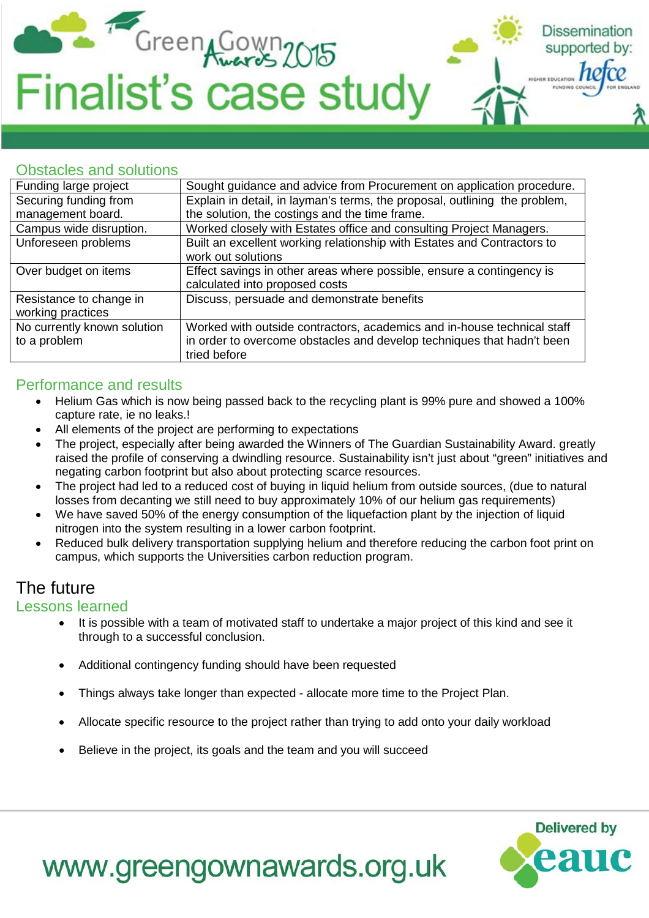

#### Obstacles and solutions

| Funding large project       | Sought guidance and advice from Procurement on application procedure.      |
|-----------------------------|----------------------------------------------------------------------------|
| Securing funding from       | Explain in detail, in layman's terms, the proposal, outlining the problem, |
| management board.           | the solution, the costings and the time frame.                             |
| Campus wide disruption.     | Worked closely with Estates office and consulting Project Managers.        |
| Unforeseen problems         | Built an excellent working relationship with Estates and Contractors to    |
|                             | work out solutions                                                         |
| Over budget on items        | Effect savings in other areas where possible, ensure a contingency is      |
|                             | calculated into proposed costs                                             |
| Resistance to change in     | Discuss, persuade and demonstrate benefits                                 |
| working practices           |                                                                            |
| No currently known solution | Worked with outside contractors, academics and in-house technical staff    |
| to a problem                | in order to overcome obstacles and develop techniques that hadn't been     |
|                             | tried before                                                               |

#### Performance and results

- Helium Gas which is now being passed back to the recycling plant is 99% pure and showed a 100% capture rate, ie no leaks.!
- All elements of the project are performing to expectations
- The project, especially after being awarded the Winners of The Guardian Sustainability Award. greatly raised the profile of conserving a dwindling resource. Sustainability isn't just about "green" initiatives and negating carbon footprint but also about protecting scarce resources.
- The project had led to a reduced cost of buying in liquid helium from outside sources, (due to natural losses from decanting we still need to buy approximately 10% of our helium gas requirements)
- We have saved 50% of the energy consumption of the liquefaction plant by the injection of liquid nitrogen into the system resulting in a lower carbon footprint.
- Reduced bulk delivery transportation supplying helium and therefore reducing the carbon foot print on campus, which supports the Universities carbon reduction program.

## The future

#### Lessons learned

- It is possible with a team of motivated staff to undertake a major project of this kind and see it through to a successful conclusion.
- Additional contingency funding should have been requested
- Things always take longer than expected allocate more time to the Project Plan.
- Allocate specific resource to the project rather than trying to add onto your daily workload
- Believe in the project, its goals and the team and you will succeed



**Dissemination** supported by:

HER EDUCATION **NC**